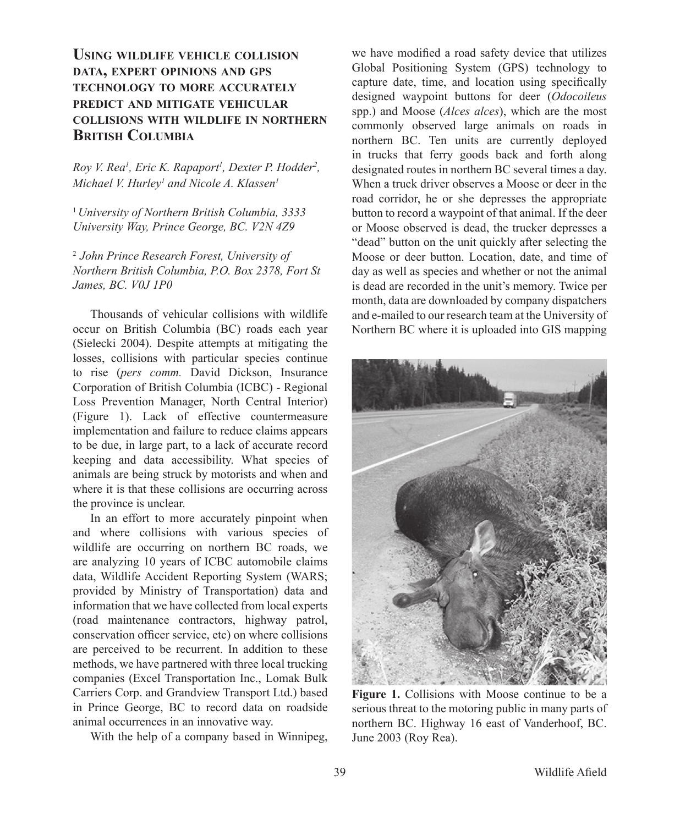## **USING WILDLIFE VEHICLE COLLISION DATA, EXPERT OPINIONS AND GPS TECHNOLOGY TO MORE ACCURATELY PREDICT AND MITIGATE VEHICULAR COLLISIONS WITH WILDLIFE IN NORTHERN BRITISH COLUMBIA**

*Roy V. Rea<sup>1</sup>, Eric K. Rapaport<sup>1</sup>, Dexter P. Hodder<sup>2</sup>, Michael V. Hurley1 and Nicole A. Klassen1*

<sup>1</sup>*University of Northern British Columbia, 3333 University Way, Prince George, BC. V2N 4Z9*

<sup>2</sup>*John Prince Research Forest, University of Northern British Columbia, P.O. Box 2378, Fort St James, BC. V0J 1P0*

 Thousands of vehicular collisions with wildlife occur on British Columbia (BC) roads each year (Sielecki 2004). Despite attempts at mitigating the losses, collisions with particular species continue to rise (*pers comm.* David Dickson, Insurance Corporation of British Columbia (ICBC) - Regional Loss Prevention Manager, North Central Interior) (Figure 1). Lack of effective countermeasure implementation and failure to reduce claims appears to be due, in large part, to a lack of accurate record keeping and data accessibility. What species of animals are being struck by motorists and when and where it is that these collisions are occurring across the province is unclear.

 In an effort to more accurately pinpoint when and where collisions with various species of wildlife are occurring on northern BC roads, we are analyzing 10 years of ICBC automobile claims data, Wildlife Accident Reporting System (WARS; provided by Ministry of Transportation) data and information that we have collected from local experts (road maintenance contractors, highway patrol, conservation officer service, etc) on where collisions are perceived to be recurrent. In addition to these methods, we have partnered with three local trucking companies (Excel Transportation Inc., Lomak Bulk Carriers Corp. and Grandview Transport Ltd.) based in Prince George, BC to record data on roadside animal occurrences in an innovative way.

With the help of a company based in Winnipeg,

we have modified a road safety device that utilizes Global Positioning System (GPS) technology to capture date, time, and location using specifically designed waypoint buttons for deer (*Odocoileus*  spp.) and Moose (*Alces alces*), which are the most commonly observed large animals on roads in northern BC. Ten units are currently deployed in trucks that ferry goods back and forth along designated routes in northern BC several times a day. When a truck driver observes a Moose or deer in the road corridor, he or she depresses the appropriate button to record a waypoint of that animal. If the deer or Moose observed is dead, the trucker depresses a "dead" button on the unit quickly after selecting the Moose or deer button. Location, date, and time of day as well as species and whether or not the animal is dead are recorded in the unit's memory. Twice per month, data are downloaded by company dispatchers and e-mailed to our research team at the University of Northern BC where it is uploaded into GIS mapping



**Figure 1.** Collisions with Moose continue to be a serious threat to the motoring public in many parts of northern BC. Highway 16 east of Vanderhoof, BC. June 2003 (Roy Rea).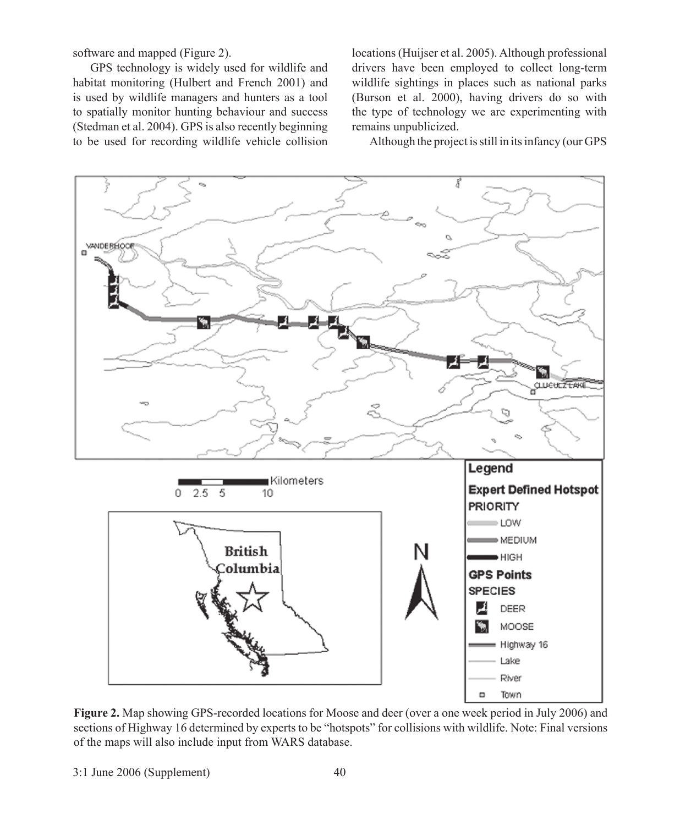software and mapped (Figure 2).

 GPS technology is widely used for wildlife and habitat monitoring (Hulbert and French 2001) and is used by wildlife managers and hunters as a tool to spatially monitor hunting behaviour and success (Stedman et al. 2004). GPS is also recently beginning to be used for recording wildlife vehicle collision

locations (Huijser et al. 2005). Although professional drivers have been employed to collect long-term wildlife sightings in places such as national parks (Burson et al. 2000), having drivers do so with the type of technology we are experimenting with remains unpublicized.

Although the project is still in its infancy (our GPS



**Figure 2.** Map showing GPS-recorded locations for Moose and deer (over a one week period in July 2006) and sections of Highway 16 determined by experts to be "hotspots" for collisions with wildlife. Note: Final versions of the maps will also include input from WARS database.

3:1 June 2006 (Supplement) 40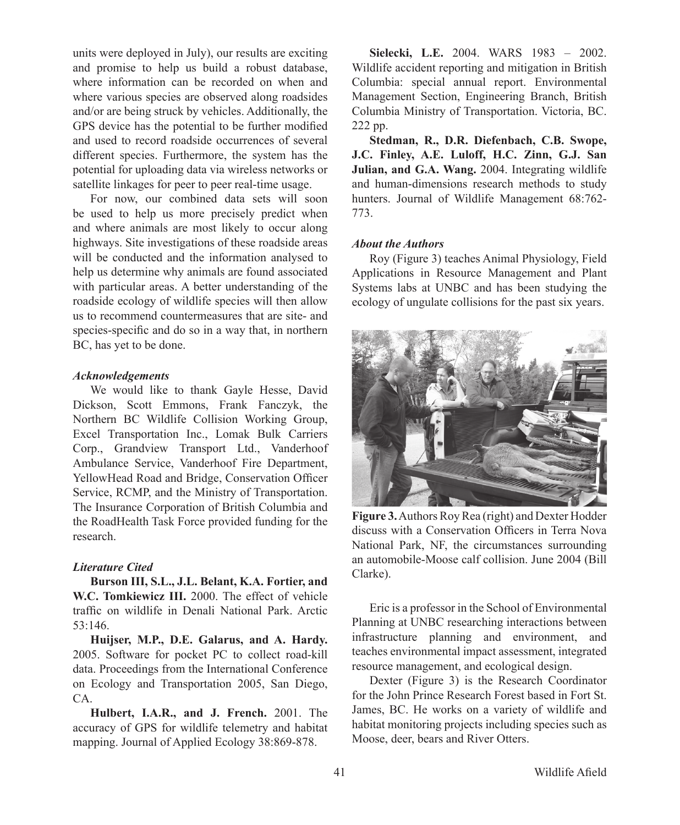units were deployed in July), our results are exciting and promise to help us build a robust database, where information can be recorded on when and where various species are observed along roadsides and/or are being struck by vehicles. Additionally, the GPS device has the potential to be further modified and used to record roadside occurrences of several different species. Furthermore, the system has the potential for uploading data via wireless networks or satellite linkages for peer to peer real-time usage.

 For now, our combined data sets will soon be used to help us more precisely predict when and where animals are most likely to occur along highways. Site investigations of these roadside areas will be conducted and the information analysed to help us determine why animals are found associated with particular areas. A better understanding of the roadside ecology of wildlife species will then allow us to recommend countermeasures that are site- and species-specific and do so in a way that, in northern BC, has yet to be done.

## *Acknowledgements*

We would like to thank Gayle Hesse, David Dickson, Scott Emmons, Frank Fanczyk, the Northern BC Wildlife Collision Working Group, Excel Transportation Inc., Lomak Bulk Carriers Corp., Grandview Transport Ltd., Vanderhoof Ambulance Service, Vanderhoof Fire Department, YellowHead Road and Bridge, Conservation Officer Service, RCMP, and the Ministry of Transportation. The Insurance Corporation of British Columbia and the RoadHealth Task Force provided funding for the research.

## *Literature Cited*

 **Burson III, S.L., J.L. Belant, K.A. Fortier, and W.C. Tomkiewicz III.** 2000. The effect of vehicle traffic on wildlife in Denali National Park. Arctic 53:146.

 **Huijser, M.P., D.E. Galarus, and A. Hardy.** 2005. Software for pocket PC to collect road-kill data. Proceedings from the International Conference on Ecology and Transportation 2005, San Diego, CA.

**Hulbert, I.A.R., and J. French.** 2001. The accuracy of GPS for wildlife telemetry and habitat mapping. Journal of Applied Ecology 38:869-878.

**Sielecki, L.E.** 2004. WARS 1983 – 2002. Wildlife accident reporting and mitigation in British Columbia: special annual report. Environmental Management Section, Engineering Branch, British Columbia Ministry of Transportation. Victoria, BC. 222 pp.

**Stedman, R., D.R. Diefenbach, C.B. Swope, J.C. Finley, A.E. Luloff, H.C. Zinn, G.J. San Julian, and G.A. Wang.** 2004. Integrating wildlife and human-dimensions research methods to study hunters. Journal of Wildlife Management 68:762- 773.

## *About the Authors*

 Roy (Figure 3) teaches Animal Physiology, Field Applications in Resource Management and Plant Systems labs at UNBC and has been studying the ecology of ungulate collisions for the past six years.



**Figure 3.** Authors Roy Rea (right) and Dexter Hodder discuss with a Conservation Officers in Terra Nova National Park, NF, the circumstances surrounding an automobile-Moose calf collision. June 2004 (Bill Clarke).

 Eric is a professor in the School of Environmental Planning at UNBC researching interactions between infrastructure planning and environment, and teaches environmental impact assessment, integrated resource management, and ecological design.

 Dexter (Figure 3) is the Research Coordinator for the John Prince Research Forest based in Fort St. James, BC. He works on a variety of wildlife and habitat monitoring projects including species such as Moose, deer, bears and River Otters.